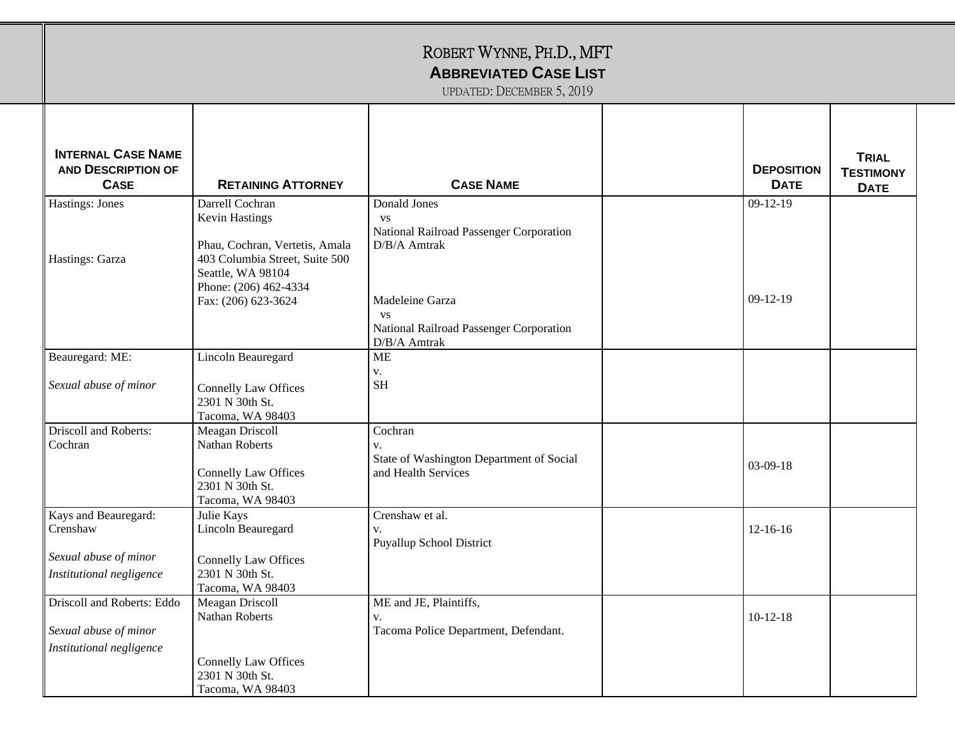| <b>INTERNAL CASE NAME</b><br><b>AND DESCRIPTION OF</b><br><b>CASE</b> | <b>RETAINING ATTORNEY</b>                                                                                                                           | <b>CASE NAME</b>                                                                        | <b>DEPOSITION</b><br><b>DATE</b> | <b>TRIAL</b><br><b>TESTIMONY</b><br><b>DATE</b> |
|-----------------------------------------------------------------------|-----------------------------------------------------------------------------------------------------------------------------------------------------|-----------------------------------------------------------------------------------------|----------------------------------|-------------------------------------------------|
| <b>Hastings: Jones</b><br>Hastings: Garza                             | Darrell Cochran<br>Kevin Hastings<br>Phau, Cochran, Vertetis, Amala<br>403 Columbia Street, Suite 500<br>Seattle, WA 98104<br>Phone: (206) 462-4334 | Donald Jones<br><b>VS</b><br>National Railroad Passenger Corporation<br>D/B/A Amtrak    | $09-12-19$                       |                                                 |
|                                                                       | Fax: (206) 623-3624                                                                                                                                 | Madeleine Garza<br><b>VS</b><br>National Railroad Passenger Corporation<br>D/B/A Amtrak | $09-12-19$                       |                                                 |
| Beauregard: ME:                                                       | Lincoln Beauregard                                                                                                                                  | <b>ME</b>                                                                               |                                  |                                                 |
| Sexual abuse of minor                                                 | <b>Connelly Law Offices</b><br>2301 N 30th St.<br>Tacoma, WA 98403                                                                                  | V.<br><b>SH</b>                                                                         |                                  |                                                 |
| Driscoll and Roberts:<br>Cochran                                      | Meagan Driscoll<br>Nathan Roberts<br><b>Connelly Law Offices</b><br>2301 N 30th St.<br>Tacoma, WA 98403                                             | Cochran<br>V.<br>State of Washington Department of Social<br>and Health Services        | $03-09-18$                       |                                                 |
| Kays and Beauregard:<br>Crenshaw                                      | Julie Kays<br>Lincoln Beauregard                                                                                                                    | Crenshaw et al.<br>V.<br><b>Puyallup School District</b>                                | $12 - 16 - 16$                   |                                                 |
| Sexual abuse of minor<br>Institutional negligence                     | <b>Connelly Law Offices</b><br>2301 N 30th St.<br>Tacoma, WA 98403                                                                                  |                                                                                         |                                  |                                                 |
| Driscoll and Roberts: Eddo<br>Sexual abuse of minor                   | Meagan Driscoll<br>Nathan Roberts                                                                                                                   | ME and JE, Plaintiffs,<br>V.<br>Tacoma Police Department, Defendant.                    | $10-12-18$                       |                                                 |
| Institutional negligence                                              | <b>Connelly Law Offices</b><br>2301 N 30th St.<br>Tacoma, WA 98403                                                                                  |                                                                                         |                                  |                                                 |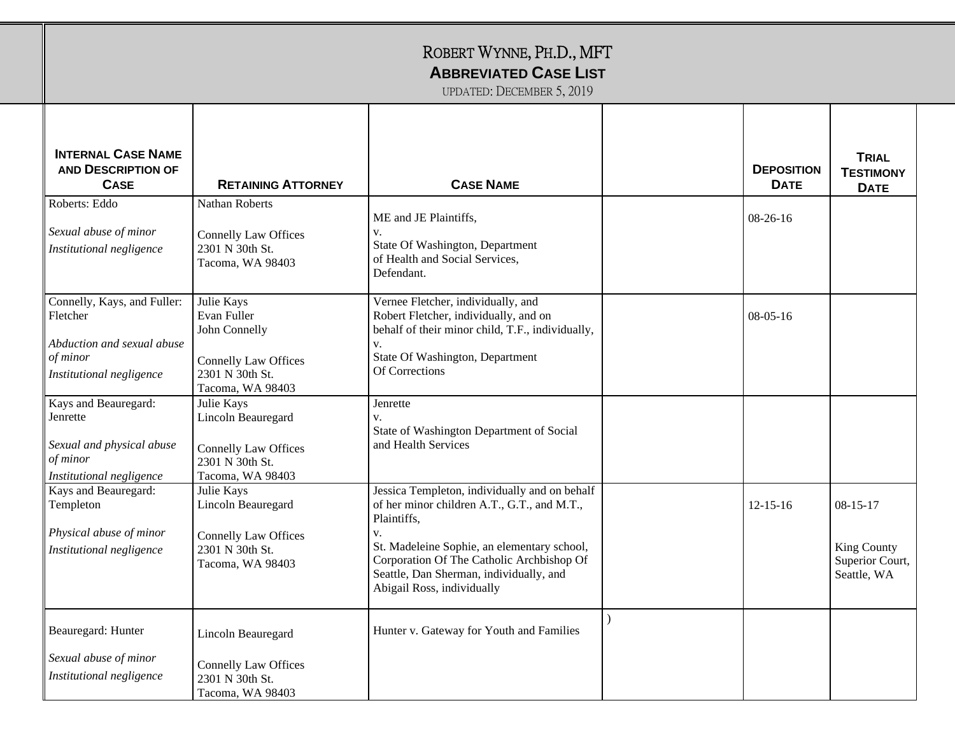| <b>INTERNAL CASE NAME</b><br><b>AND DESCRIPTION OF</b><br><b>CASE</b>                                            | <b>RETAINING ATTORNEY</b>                                                                                        | <b>CASE NAME</b>                                                                                                                                                                                                                                                                       | <b>DEPOSITION</b><br><b>DATE</b> | <b>TRIAL</b><br><b>TESTIMONY</b><br><b>DATE</b>                 |
|------------------------------------------------------------------------------------------------------------------|------------------------------------------------------------------------------------------------------------------|----------------------------------------------------------------------------------------------------------------------------------------------------------------------------------------------------------------------------------------------------------------------------------------|----------------------------------|-----------------------------------------------------------------|
| Roberts: Eddo<br>Sexual abuse of minor<br>Institutional negligence                                               | Nathan Roberts<br><b>Connelly Law Offices</b><br>2301 N 30th St.<br>Tacoma, WA 98403                             | ME and JE Plaintiffs,<br>v.<br>State Of Washington, Department<br>of Health and Social Services,<br>Defendant.                                                                                                                                                                         | $08-26-16$                       |                                                                 |
| Connelly, Kays, and Fuller:<br>Fletcher<br>Abduction and sexual abuse<br>$of\,minor$<br>Institutional negligence | Julie Kays<br>Evan Fuller<br>John Connelly<br><b>Connelly Law Offices</b><br>2301 N 30th St.<br>Tacoma, WA 98403 | Vernee Fletcher, individually, and<br>Robert Fletcher, individually, and on<br>behalf of their minor child, T.F., individually,<br>V.<br>State Of Washington, Department<br>Of Corrections                                                                                             | $08-05-16$                       |                                                                 |
| Kays and Beauregard:<br>Jenrette<br>Sexual and physical abuse<br>of minor<br>Institutional negligence            | Julie Kays<br>Lincoln Beauregard<br><b>Connelly Law Offices</b><br>2301 N 30th St.<br>Tacoma, WA 98403           | Jenrette<br>$V_{\star}$<br>State of Washington Department of Social<br>and Health Services                                                                                                                                                                                             |                                  |                                                                 |
| Kays and Beauregard:<br>Templeton<br>Physical abuse of minor<br>Institutional negligence                         | Julie Kays<br>Lincoln Beauregard<br><b>Connelly Law Offices</b><br>2301 N 30th St.<br>Tacoma, WA 98403           | Jessica Templeton, individually and on behalf<br>of her minor children A.T., G.T., and M.T.,<br>Plaintiffs,<br>v.<br>St. Madeleine Sophie, an elementary school,<br>Corporation Of The Catholic Archbishop Of<br>Seattle, Dan Sherman, individually, and<br>Abigail Ross, individually | $12 - 15 - 16$                   | $08 - 15 - 17$<br>King County<br>Superior Court,<br>Seattle, WA |
| Beauregard: Hunter<br>Sexual abuse of minor<br>Institutional negligence                                          | Lincoln Beauregard<br><b>Connelly Law Offices</b><br>2301 N 30th St.<br>Tacoma, WA 98403                         | Hunter v. Gateway for Youth and Families                                                                                                                                                                                                                                               |                                  |                                                                 |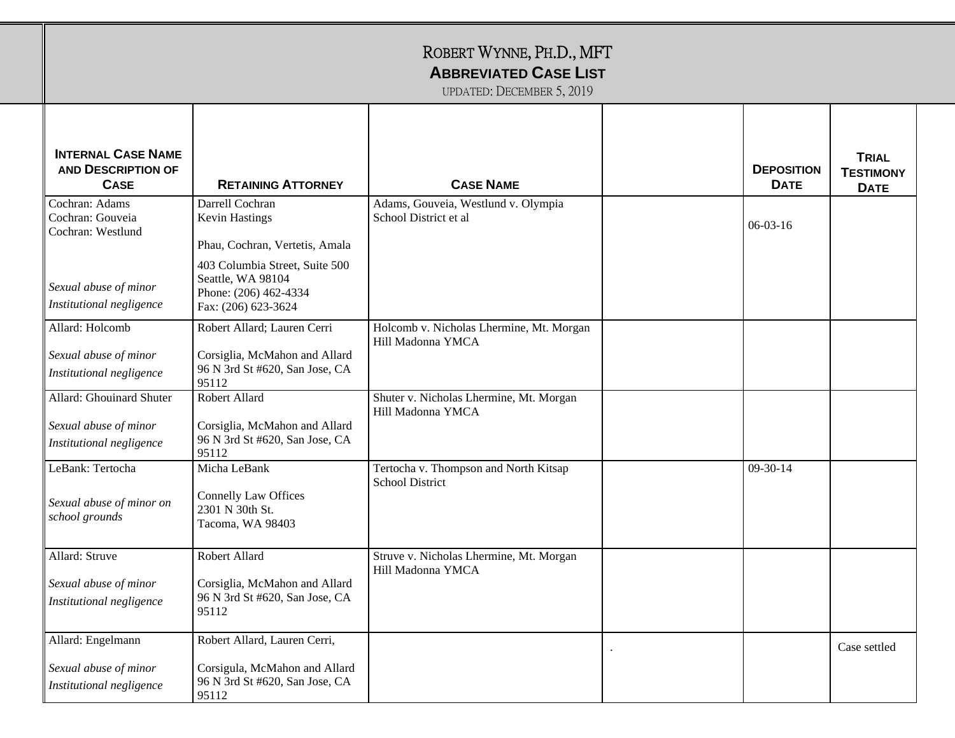| <b>INTERNAL CASE NAME</b><br><b>AND DESCRIPTION OF</b><br><b>CASE</b>         | <b>RETAINING ATTORNEY</b>                                                                                | <b>CASE NAME</b>                                                | <b>DEPOSITION</b><br><b>DATE</b> | <b>TRIAL</b><br><b>TESTIMONY</b><br><b>DATE</b> |
|-------------------------------------------------------------------------------|----------------------------------------------------------------------------------------------------------|-----------------------------------------------------------------|----------------------------------|-------------------------------------------------|
| Cochran: Adams<br>Cochran: Gouveia<br>Cochran: Westlund                       | Darrell Cochran<br>Kevin Hastings<br>Phau, Cochran, Vertetis, Amala                                      | Adams, Gouveia, Westlund v. Olympia<br>School District et al    | $06-03-16$                       |                                                 |
| Sexual abuse of minor<br>Institutional negligence                             | 403 Columbia Street, Suite 500<br>Seattle, WA 98104<br>Phone: (206) 462-4334<br>Fax: (206) 623-3624      |                                                                 |                                  |                                                 |
| Allard: Holcomb<br>Sexual abuse of minor<br>Institutional negligence          | Robert Allard; Lauren Cerri<br>Corsiglia, McMahon and Allard<br>96 N 3rd St #620, San Jose, CA<br>95112  | Holcomb v. Nicholas Lhermine, Mt. Morgan<br>Hill Madonna YMCA   |                                  |                                                 |
| Allard: Ghouinard Shuter<br>Sexual abuse of minor<br>Institutional negligence | Robert Allard<br>Corsiglia, McMahon and Allard<br>96 N 3rd St #620, San Jose, CA<br>95112                | Shuter v. Nicholas Lhermine, Mt. Morgan<br>Hill Madonna YMCA    |                                  |                                                 |
| LeBank: Tertocha<br>Sexual abuse of minor on<br>school grounds                | Micha LeBank<br><b>Connelly Law Offices</b><br>2301 N 30th St.<br>Tacoma, WA 98403                       | Tertocha v. Thompson and North Kitsap<br><b>School District</b> | $09-30-14$                       |                                                 |
| Allard: Struve<br>Sexual abuse of minor<br>Institutional negligence           | Robert Allard<br>Corsiglia, McMahon and Allard<br>96 N 3rd St #620, San Jose, CA<br>95112                | Struve v. Nicholas Lhermine, Mt. Morgan<br>Hill Madonna YMCA    |                                  |                                                 |
| Allard: Engelmann<br>Sexual abuse of minor<br>Institutional negligence        | Robert Allard, Lauren Cerri,<br>Corsigula, McMahon and Allard<br>96 N 3rd St #620, San Jose, CA<br>95112 |                                                                 |                                  | Case settled                                    |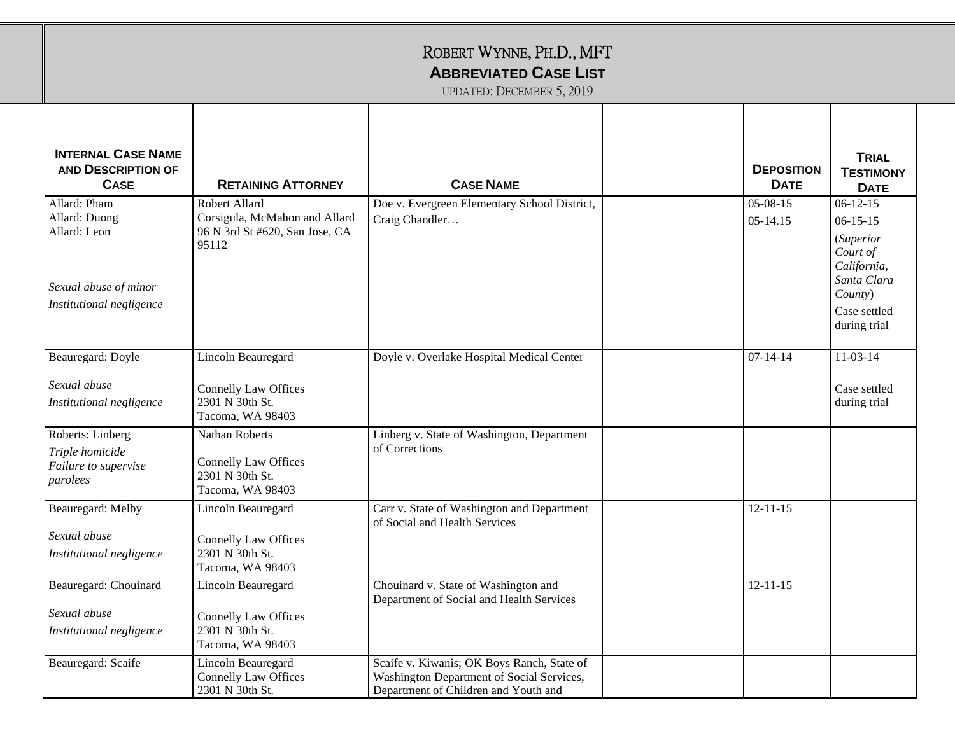|                                                                                                    |                                                                                           | ROBERT WYNNE, PH.D., MFT<br><b>ABBREVIATED CASE LIST</b><br>UPDATED: DECEMBER 5, 2019                                           |                                  |                                                                                                                                       |
|----------------------------------------------------------------------------------------------------|-------------------------------------------------------------------------------------------|---------------------------------------------------------------------------------------------------------------------------------|----------------------------------|---------------------------------------------------------------------------------------------------------------------------------------|
| <b>INTERNAL CASE NAME</b><br><b>AND DESCRIPTION OF</b><br><b>CASE</b>                              | <b>RETAINING ATTORNEY</b>                                                                 | <b>CASE NAME</b>                                                                                                                | <b>DEPOSITION</b><br><b>DATE</b> | <b>TRIAL</b><br><b>TESTIMONY</b><br><b>DATE</b>                                                                                       |
| Allard: Pham<br>Allard: Duong<br>Allard: Leon<br>Sexual abuse of minor<br>Institutional negligence | Robert Allard<br>Corsigula, McMahon and Allard<br>96 N 3rd St #620, San Jose, CA<br>95112 | Doe v. Evergreen Elementary School District,<br>Craig Chandler                                                                  | $05-08-15$<br>$05 - 14.15$       | $06-12-15$<br>$06 - 15 - 15$<br><i>(Superior</i><br>Court of<br>California,<br>Santa Clara<br>County)<br>Case settled<br>during trial |
| Beauregard: Doyle<br>Sexual abuse<br>Institutional negligence                                      | Lincoln Beauregard<br><b>Connelly Law Offices</b><br>2301 N 30th St.<br>Tacoma, WA 98403  | Doyle v. Overlake Hospital Medical Center                                                                                       | $07 - 14 - 14$                   | $11-03-14$<br>Case settled<br>during trial                                                                                            |
| Roberts: Linberg<br>Triple homicide<br>Failure to supervise<br>parolees                            | Nathan Roberts<br><b>Connelly Law Offices</b><br>2301 N 30th St.<br>Tacoma, WA 98403      | Linberg v. State of Washington, Department<br>of Corrections                                                                    |                                  |                                                                                                                                       |
| Beauregard: Melby<br>Sexual abuse<br>Institutional negligence                                      | Lincoln Beauregard<br><b>Connelly Law Offices</b><br>2301 N 30th St.<br>Tacoma, WA 98403  | Carr v. State of Washington and Department<br>of Social and Health Services                                                     | $12 - 11 - 15$                   |                                                                                                                                       |
| Beauregard: Chouinard<br>Sexual abuse<br>Institutional negligence                                  | Lincoln Beauregard<br><b>Connelly Law Offices</b><br>2301 N 30th St.<br>Tacoma, WA 98403  | Chouinard v. State of Washington and<br>Department of Social and Health Services                                                | $12 - 11 - 15$                   |                                                                                                                                       |
| Beauregard: Scaife                                                                                 | Lincoln Beauregard<br><b>Connelly Law Offices</b><br>2301 N 30th St.                      | Scaife v. Kiwanis; OK Boys Ranch, State of<br>Washington Department of Social Services,<br>Department of Children and Youth and |                                  |                                                                                                                                       |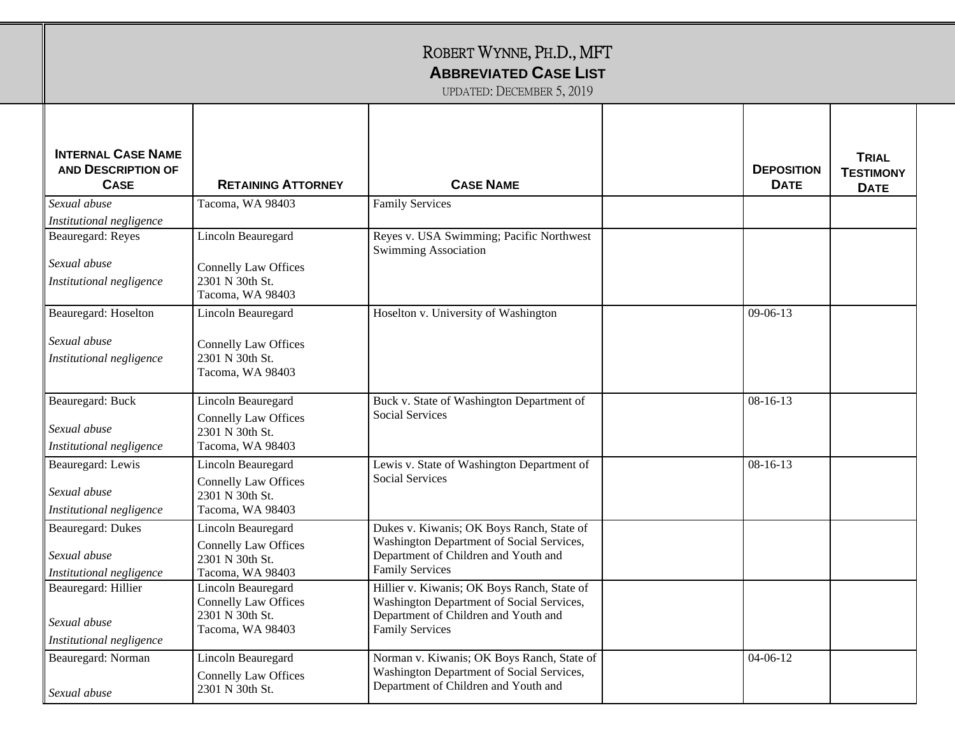| <b>INTERNAL CASE NAME</b><br><b>AND DESCRIPTION OF</b><br><b>CASE</b> | <b>RETAINING ATTORNEY</b>                      | <b>CASE NAME</b>                                                                  | <b>DEPOSITION</b><br><b>DATE</b> | <b>TRIAL</b><br><b>TESTIMONY</b><br><b>DATE</b> |
|-----------------------------------------------------------------------|------------------------------------------------|-----------------------------------------------------------------------------------|----------------------------------|-------------------------------------------------|
| Sexual abuse                                                          | Tacoma, WA 98403                               | <b>Family Services</b>                                                            |                                  |                                                 |
| Institutional negligence                                              |                                                |                                                                                   |                                  |                                                 |
| Beauregard: Reyes                                                     | Lincoln Beauregard                             | Reyes v. USA Swimming; Pacific Northwest<br><b>Swimming Association</b>           |                                  |                                                 |
| Sexual abuse                                                          | <b>Connelly Law Offices</b>                    |                                                                                   |                                  |                                                 |
| Institutional negligence                                              | 2301 N 30th St.<br>Tacoma, WA 98403            |                                                                                   |                                  |                                                 |
| Beauregard: Hoselton                                                  | Lincoln Beauregard                             | Hoselton v. University of Washington                                              | $09-06-13$                       |                                                 |
| Sexual abuse                                                          | <b>Connelly Law Offices</b>                    |                                                                                   |                                  |                                                 |
| Institutional negligence                                              | 2301 N 30th St.<br>Tacoma, WA 98403            |                                                                                   |                                  |                                                 |
| Beauregard: Buck                                                      | Lincoln Beauregard                             | Buck v. State of Washington Department of                                         | $08-16-13$                       |                                                 |
| Sexual abuse                                                          | <b>Connelly Law Offices</b><br>2301 N 30th St. | <b>Social Services</b>                                                            |                                  |                                                 |
| Institutional negligence                                              | Tacoma, WA 98403                               |                                                                                   |                                  |                                                 |
| Beauregard: Lewis                                                     | Lincoln Beauregard                             | Lewis v. State of Washington Department of                                        | $08-16-13$                       |                                                 |
| Sexual abuse                                                          | <b>Connelly Law Offices</b><br>2301 N 30th St. | <b>Social Services</b>                                                            |                                  |                                                 |
| Institutional negligence                                              | Tacoma, WA 98403                               |                                                                                   |                                  |                                                 |
| <b>Beauregard: Dukes</b>                                              | Lincoln Beauregard                             | Dukes v. Kiwanis; OK Boys Ranch, State of                                         |                                  |                                                 |
| Sexual abuse                                                          | <b>Connelly Law Offices</b>                    | Washington Department of Social Services,<br>Department of Children and Youth and |                                  |                                                 |
| Institutional negligence                                              | 2301 N 30th St.<br>Tacoma, WA 98403            | <b>Family Services</b>                                                            |                                  |                                                 |
| Beauregard: Hillier                                                   | Lincoln Beauregard                             | Hillier v. Kiwanis; OK Boys Ranch, State of                                       |                                  |                                                 |
|                                                                       | <b>Connelly Law Offices</b>                    | Washington Department of Social Services,                                         |                                  |                                                 |
| Sexual abuse                                                          | 2301 N 30th St.                                | Department of Children and Youth and                                              |                                  |                                                 |
| Institutional negligence                                              | Tacoma, WA 98403                               | <b>Family Services</b>                                                            |                                  |                                                 |
| Beauregard: Norman                                                    | Lincoln Beauregard                             | Norman v. Kiwanis; OK Boys Ranch, State of                                        | $04 - 06 - 12$                   |                                                 |
|                                                                       | <b>Connelly Law Offices</b>                    | Washington Department of Social Services,                                         |                                  |                                                 |
| Sexual abuse                                                          | 2301 N 30th St.                                | Department of Children and Youth and                                              |                                  |                                                 |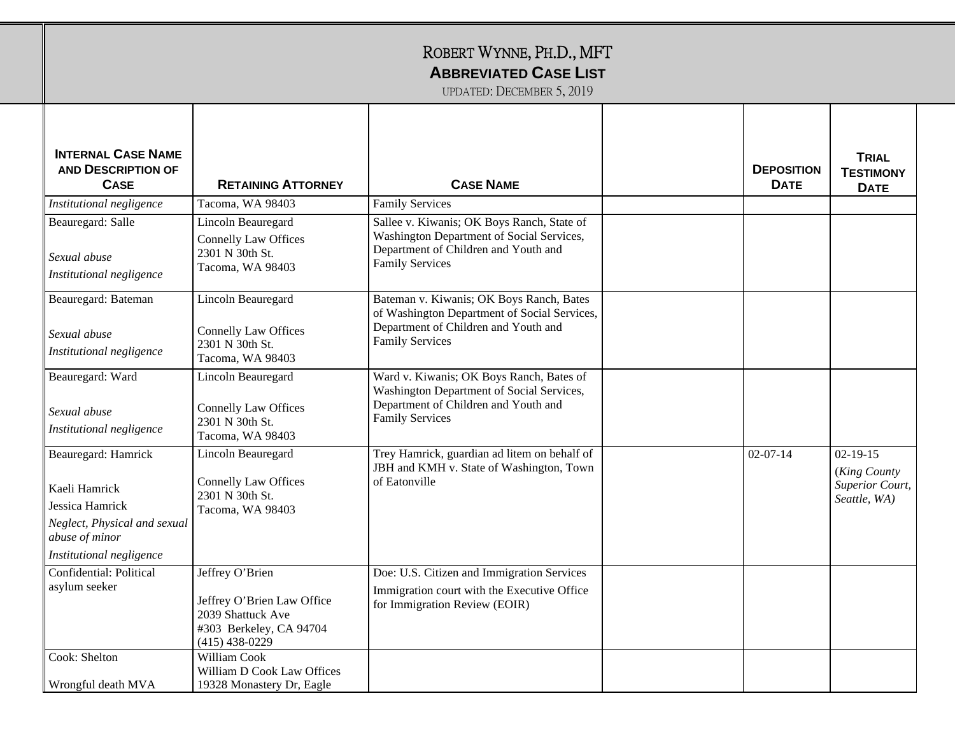| <b>INTERNAL CASE NAME</b><br><b>AND DESCRIPTION OF</b><br><b>CASE</b>                                                                 | <b>RETAINING ATTORNEY</b>                                                                                         | <b>CASE NAME</b>                                                                                                                                           | <b>DEPOSITION</b><br><b>DATE</b> | <b>TRIAL</b><br><b>TESTIMONY</b><br><b>DATE</b>                          |
|---------------------------------------------------------------------------------------------------------------------------------------|-------------------------------------------------------------------------------------------------------------------|------------------------------------------------------------------------------------------------------------------------------------------------------------|----------------------------------|--------------------------------------------------------------------------|
| Institutional negligence                                                                                                              | Tacoma, WA 98403                                                                                                  | <b>Family Services</b>                                                                                                                                     |                                  |                                                                          |
| Beauregard: Salle<br>Sexual abuse<br>Institutional negligence                                                                         | Lincoln Beauregard<br><b>Connelly Law Offices</b><br>2301 N 30th St.<br>Tacoma, WA 98403                          | Sallee v. Kiwanis; OK Boys Ranch, State of<br>Washington Department of Social Services,<br>Department of Children and Youth and<br><b>Family Services</b>  |                                  |                                                                          |
| Beauregard: Bateman<br>Sexual abuse<br>Institutional negligence                                                                       | Lincoln Beauregard<br><b>Connelly Law Offices</b><br>2301 N 30th St.<br>Tacoma, WA 98403                          | Bateman v. Kiwanis; OK Boys Ranch, Bates<br>of Washington Department of Social Services,<br>Department of Children and Youth and<br><b>Family Services</b> |                                  |                                                                          |
| Beauregard: Ward<br>Sexual abuse<br>Institutional negligence                                                                          | Lincoln Beauregard<br><b>Connelly Law Offices</b><br>2301 N 30th St.<br>Tacoma, WA 98403                          | Ward v. Kiwanis; OK Boys Ranch, Bates of<br>Washington Department of Social Services,<br>Department of Children and Youth and<br><b>Family Services</b>    |                                  |                                                                          |
| Beauregard: Hamrick<br>Kaeli Hamrick<br>Jessica Hamrick<br>Neglect, Physical and sexual<br>abuse of minor<br>Institutional negligence | Lincoln Beauregard<br><b>Connelly Law Offices</b><br>2301 N 30th St.<br>Tacoma, WA 98403                          | Trey Hamrick, guardian ad litem on behalf of<br>JBH and KMH v. State of Washington, Town<br>of Eatonville                                                  | $02 - 07 - 14$                   | $02 - 19 - 15$<br>(King County<br><b>Superior Court,</b><br>Seattle, WA) |
| Confidential: Political<br>asylum seeker                                                                                              | Jeffrey O'Brien<br>Jeffrey O'Brien Law Office<br>2039 Shattuck Ave<br>#303 Berkeley, CA 94704<br>$(415)$ 438-0229 | Doe: U.S. Citizen and Immigration Services<br>Immigration court with the Executive Office<br>for Immigration Review (EOIR)                                 |                                  |                                                                          |
| Cook: Shelton<br>Wrongful death MVA                                                                                                   | <b>William Cook</b><br>William D Cook Law Offices<br>19328 Monastery Dr, Eagle                                    |                                                                                                                                                            |                                  |                                                                          |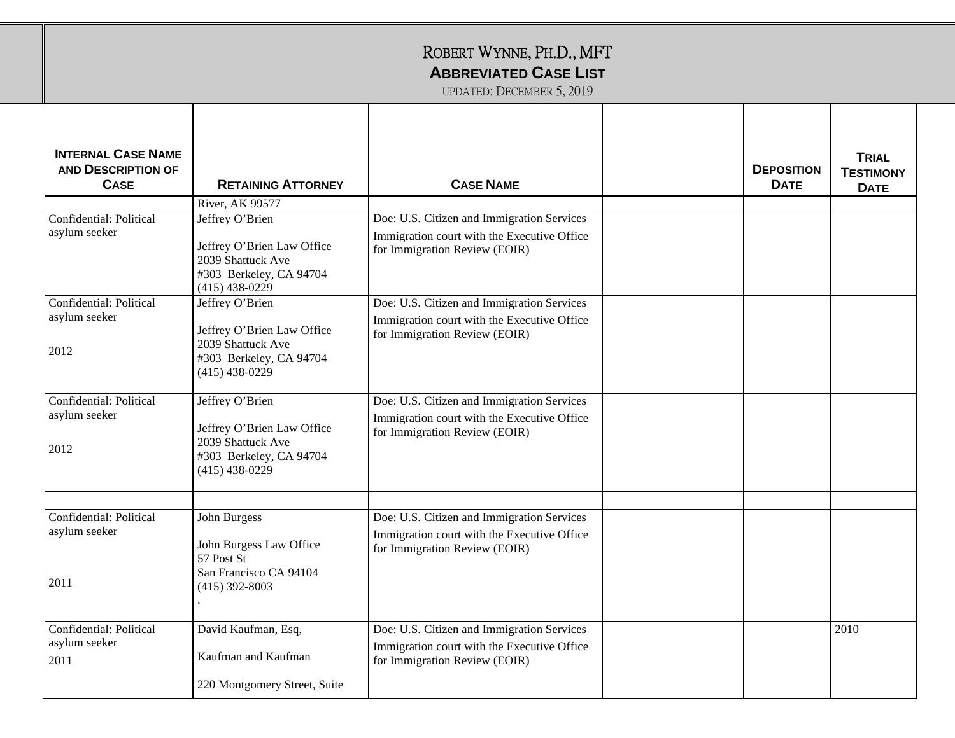| ROBERT WYNNE, PH.D., MFT<br><b>ABBREVIATED CASE LIST</b><br>UPDATED: DECEMBER 5, 2019 |                                                                                                                                      |                                                                                                                            |  |                                  |                                                 |
|---------------------------------------------------------------------------------------|--------------------------------------------------------------------------------------------------------------------------------------|----------------------------------------------------------------------------------------------------------------------------|--|----------------------------------|-------------------------------------------------|
| <b>INTERNAL CASE NAME</b><br><b>AND DESCRIPTION OF</b><br><b>CASE</b>                 | <b>RETAINING ATTORNEY</b>                                                                                                            | <b>CASE NAME</b>                                                                                                           |  | <b>DEPOSITION</b><br><b>DATE</b> | <b>TRIAL</b><br><b>TESTIMONY</b><br><b>DATE</b> |
| Confidential: Political<br>asylum seeker                                              | River, AK 99577<br>Jeffrey O'Brien<br>Jeffrey O'Brien Law Office<br>2039 Shattuck Ave<br>#303 Berkeley, CA 94704<br>$(415)$ 438-0229 | Doe: U.S. Citizen and Immigration Services<br>Immigration court with the Executive Office<br>for Immigration Review (EOIR) |  |                                  |                                                 |
| Confidential: Political<br>asylum seeker<br>2012                                      | Jeffrey O'Brien<br>Jeffrey O'Brien Law Office<br>2039 Shattuck Ave<br>#303 Berkeley, CA 94704<br>$(415)$ 438-0229                    | Doe: U.S. Citizen and Immigration Services<br>Immigration court with the Executive Office<br>for Immigration Review (EOIR) |  |                                  |                                                 |
| Confidential: Political<br>asylum seeker<br>2012                                      | Jeffrey O'Brien<br>Jeffrey O'Brien Law Office<br>2039 Shattuck Ave<br>#303 Berkeley, CA 94704<br>$(415)$ 438-0229                    | Doe: U.S. Citizen and Immigration Services<br>Immigration court with the Executive Office<br>for Immigration Review (EOIR) |  |                                  |                                                 |
| Confidential: Political<br>asylum seeker<br>2011                                      | John Burgess<br>John Burgess Law Office<br>57 Post St<br>San Francisco CA 94104<br>$(415)$ 392-8003                                  | Doe: U.S. Citizen and Immigration Services<br>Immigration court with the Executive Office<br>for Immigration Review (EOIR) |  |                                  |                                                 |
| Confidential: Political<br>asylum seeker<br>2011                                      | David Kaufman, Esq,<br>Kaufman and Kaufman<br>220 Montgomery Street, Suite                                                           | Doe: U.S. Citizen and Immigration Services<br>Immigration court with the Executive Office<br>for Immigration Review (EOIR) |  |                                  | 2010                                            |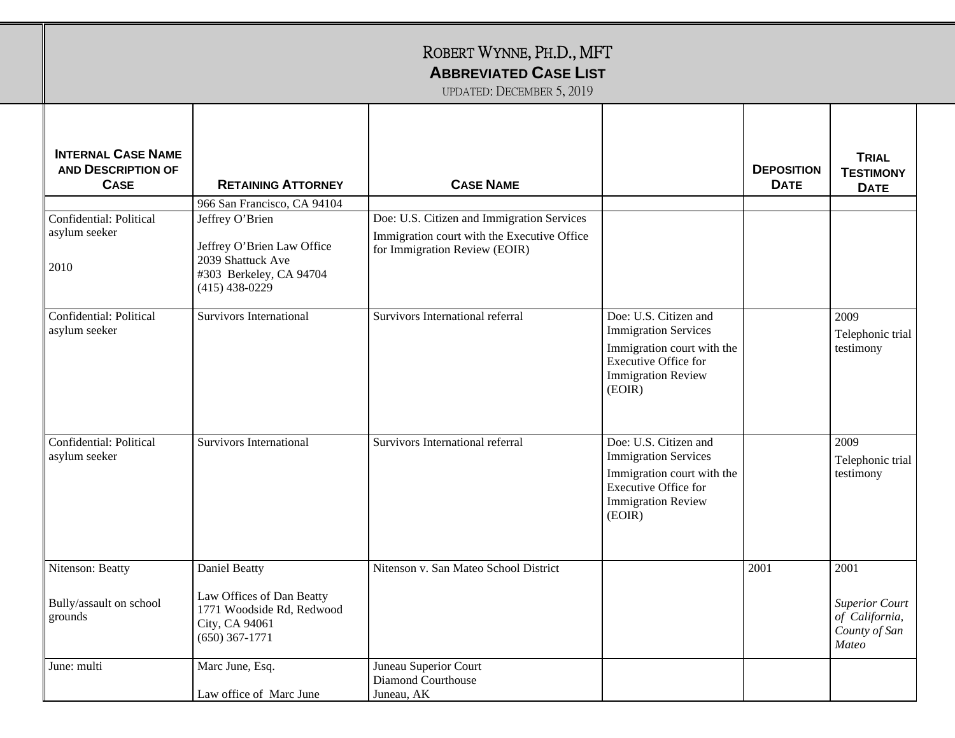|                                                                       |                                                                                                                                                  | ROBERT WYNNE, PH.D., MFT<br><b>ABBREVIATED CASE LIST</b><br>UPDATED: DECEMBER 5, 2019                                      |                                                                                                                                                          |                                  |                                                                           |
|-----------------------------------------------------------------------|--------------------------------------------------------------------------------------------------------------------------------------------------|----------------------------------------------------------------------------------------------------------------------------|----------------------------------------------------------------------------------------------------------------------------------------------------------|----------------------------------|---------------------------------------------------------------------------|
| <b>INTERNAL CASE NAME</b><br><b>AND DESCRIPTION OF</b><br><b>CASE</b> | <b>RETAINING ATTORNEY</b>                                                                                                                        | <b>CASE NAME</b>                                                                                                           |                                                                                                                                                          | <b>DEPOSITION</b><br><b>DATE</b> | <b>TRIAL</b><br><b>TESTIMONY</b><br><b>DATE</b>                           |
| Confidential: Political<br>asylum seeker<br>2010                      | 966 San Francisco, CA 94104<br>Jeffrey O'Brien<br>Jeffrey O'Brien Law Office<br>2039 Shattuck Ave<br>#303 Berkeley, CA 94704<br>$(415)$ 438-0229 | Doe: U.S. Citizen and Immigration Services<br>Immigration court with the Executive Office<br>for Immigration Review (EOIR) |                                                                                                                                                          |                                  |                                                                           |
| Confidential: Political<br>asylum seeker                              | <b>Survivors International</b>                                                                                                                   | Survivors International referral                                                                                           | Doe: U.S. Citizen and<br><b>Immigration Services</b><br>Immigration court with the<br><b>Executive Office for</b><br><b>Immigration Review</b><br>(EOIR) |                                  | 2009<br>Telephonic trial<br>testimony                                     |
| Confidential: Political<br>asylum seeker                              | <b>Survivors International</b>                                                                                                                   | Survivors International referral                                                                                           | Doe: U.S. Citizen and<br><b>Immigration Services</b><br>Immigration court with the<br><b>Executive Office for</b><br><b>Immigration Review</b><br>(EOIR) |                                  | 2009<br>Telephonic trial<br>testimony                                     |
| Nitenson: Beatty<br>Bully/assault on school<br>grounds                | Daniel Beatty<br>Law Offices of Dan Beatty<br>1771 Woodside Rd, Redwood<br>City, CA 94061<br>$(650)$ 367-1771                                    | Nitenson v. San Mateo School District                                                                                      |                                                                                                                                                          | 2001                             | 2001<br><b>Superior Court</b><br>of California,<br>County of San<br>Mateo |
| June: multi                                                           | Marc June, Esq.<br>Law office of Marc June                                                                                                       | Juneau Superior Court<br>Diamond Courthouse<br>Juneau, AK                                                                  |                                                                                                                                                          |                                  |                                                                           |